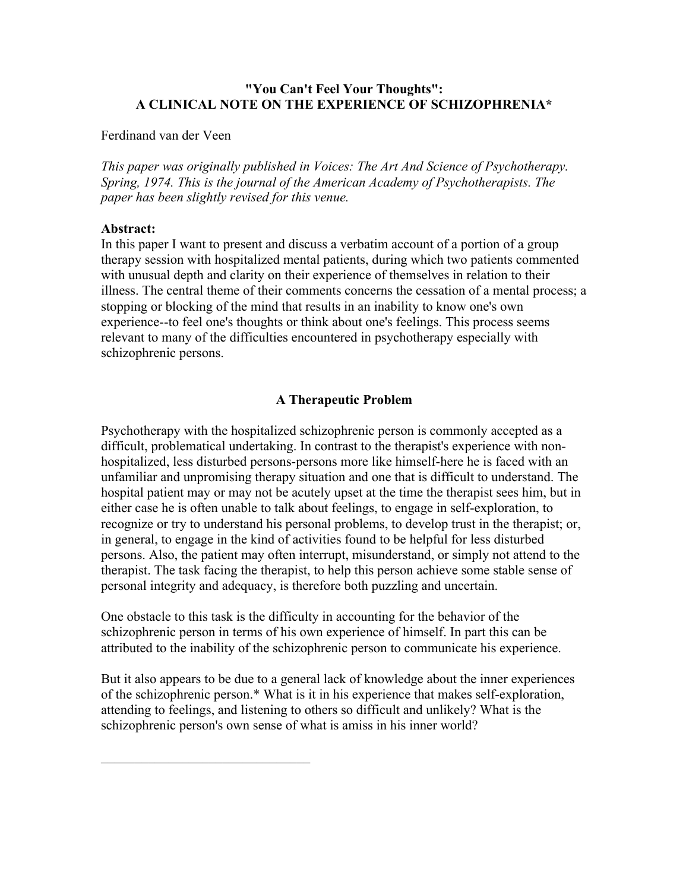## "You Can't Feel Your Thoughts": A CLINICAL NOTE ON THE EXPERIENCE OF SCHIZOPHRENIA\*

### Ferdinand van der Veen

*This paper was originally published in Voices: The Art And Science of Psychotherapy. Spring, 1974. This is the journal of the American Academy of Psychotherapists. The paper has been slightly revised for this venue.*

### Abstract:

In this paper I want to present and discuss a verbatim account of a portion of a group therapy session with hospitalized mental patients, during which two patients commented with unusual depth and clarity on their experience of themselves in relation to their illness. The central theme of their comments concerns the cessation of a mental process; a stopping or blocking of the mind that results in an inability to know one's own experience--to feel one's thoughts or think about one's feelings. This process seems relevant to many of the difficulties encountered in psychotherapy especially with schizophrenic persons.

## A Therapeutic Problem

Psychotherapy with the hospitalized schizophrenic person is commonly accepted as a difficult, problematical undertaking. In contrast to the therapist's experience with nonhospitalized, less disturbed persons-persons more like himself-here he is faced with an unfamiliar and unpromising therapy situation and one that is difficult to understand. The hospital patient may or may not be acutely upset at the time the therapist sees him, but in either case he is often unable to talk about feelings, to engage in self-exploration, to recognize or try to understand his personal problems, to develop trust in the therapist; or, in general, to engage in the kind of activities found to be helpful for less disturbed persons. Also, the patient may often interrupt, misunderstand, or simply not attend to the therapist. The task facing the therapist, to help this person achieve some stable sense of personal integrity and adequacy, is therefore both puzzling and uncertain.

One obstacle to this task is the difficulty in accounting for the behavior of the schizophrenic person in terms of his own experience of himself. In part this can be attributed to the inability of the schizophrenic person to communicate his experience.

But it also appears to be due to a general lack of knowledge about the inner experiences of the schizophrenic person.\* What is it in his experience that makes self-exploration, attending to feelings, and listening to others so difficult and unlikely? What is the schizophrenic person's own sense of what is amiss in his inner world?

 $\mathcal{L}_\text{max}$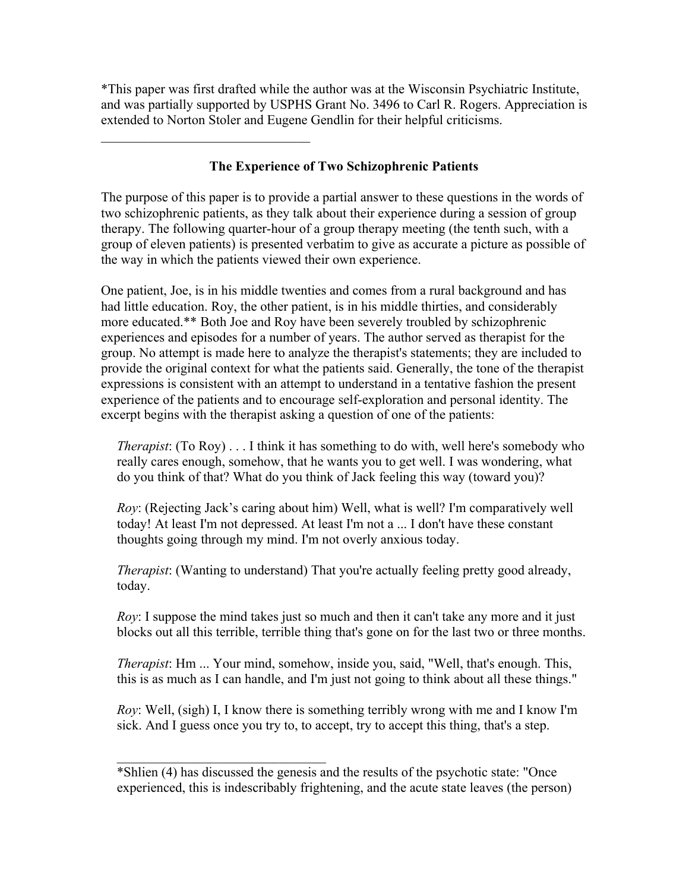\*This paper was first drafted while the author was at the Wisconsin Psychiatric Institute, and was partially supported by USPHS Grant No. 3496 to Carl R. Rogers. Appreciation is extended to Norton Stoler and Eugene Gendlin for their helpful criticisms.

# The Experience of Two Schizophrenic Patients

 $\mathcal{L}_\text{max}$ 

The purpose of this paper is to provide a partial answer to these questions in the words of two schizophrenic patients, as they talk about their experience during a session of group therapy. The following quarter-hour of a group therapy meeting (the tenth such, with a group of eleven patients) is presented verbatim to give as accurate a picture as possible of the way in which the patients viewed their own experience.

One patient, Joe, is in his middle twenties and comes from a rural background and has had little education. Roy, the other patient, is in his middle thirties, and considerably more educated.\*\* Both Joe and Roy have been severely troubled by schizophrenic experiences and episodes for a number of years. The author served as therapist for the group. No attempt is made here to analyze the therapist's statements; they are included to provide the original context for what the patients said. Generally, the tone of the therapist expressions is consistent with an attempt to understand in a tentative fashion the present experience of the patients and to encourage self-exploration and personal identity. The excerpt begins with the therapist asking a question of one of the patients:

*Therapist*: (To Roy) . . . I think it has something to do with, well here's somebody who really cares enough, somehow, that he wants you to get well. I was wondering, what do you think of that? What do you think of Jack feeling this way (toward you)?

*Roy*: (Rejecting Jack's caring about him) Well, what is well? I'm comparatively well today! At least I'm not depressed. At least I'm not a ... I don't have these constant thoughts going through my mind. I'm not overly anxious today.

*Therapist*: (Wanting to understand) That you're actually feeling pretty good already, today.

*Roy*: I suppose the mind takes just so much and then it can't take any more and it just blocks out all this terrible, terrible thing that's gone on for the last two or three months.

*Therapist*: Hm ... Your mind, somehow, inside you, said, "Well, that's enough. This, this is as much as I can handle, and I'm just not going to think about all these things."

*Roy*: Well, (sigh) I, I know there is something terribly wrong with me and I know I'm sick. And I guess once you try to, to accept, try to accept this thing, that's a step.

 $\mathcal{L}_\text{max}$ 

<sup>\*</sup>Shlien (4) has discussed the genesis and the results of the psychotic state: "Once experienced, this is indescribably frightening, and the acute state leaves (the person)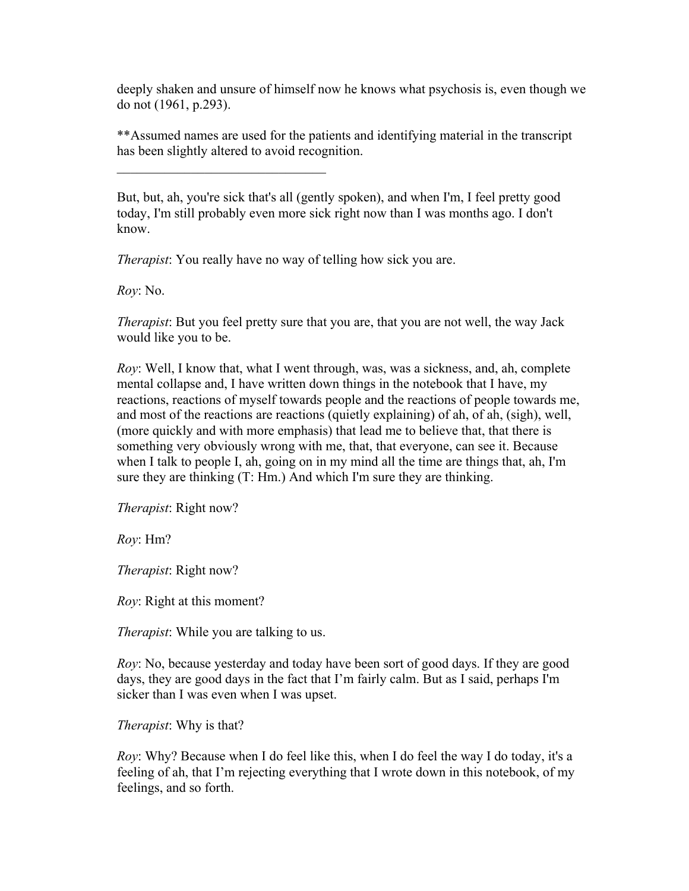deeply shaken and unsure of himself now he knows what psychosis is, even though we do not (1961, p.293).

\*\*Assumed names are used for the patients and identifying material in the transcript has been slightly altered to avoid recognition.

But, but, ah, you're sick that's all (gently spoken), and when I'm, I feel pretty good today, I'm still probably even more sick right now than I was months ago. I don't know.

*Therapist*: You really have no way of telling how sick you are.

 $\mathcal{L}_\text{max}$  , where  $\mathcal{L}_\text{max}$  and  $\mathcal{L}_\text{max}$  and  $\mathcal{L}_\text{max}$ 

*Roy*: No.

*Therapist*: But you feel pretty sure that you are, that you are not well, the way Jack would like you to be.

*Roy*: Well, I know that, what I went through, was, was a sickness, and, ah, complete mental collapse and, I have written down things in the notebook that I have, my reactions, reactions of myself towards people and the reactions of people towards me, and most of the reactions are reactions (quietly explaining) of ah, of ah, (sigh), well, (more quickly and with more emphasis) that lead me to believe that, that there is something very obviously wrong with me, that, that everyone, can see it. Because when I talk to people I, ah, going on in my mind all the time are things that, ah, I'm sure they are thinking (T: Hm.) And which I'm sure they are thinking.

*Therapist*: Right now?

*Roy*: Hm?

*Therapist*: Right now?

*Roy*: Right at this moment?

*Therapist*: While you are talking to us.

*Roy*: No, because yesterday and today have been sort of good days. If they are good days, they are good days in the fact that I'm fairly calm. But as I said, perhaps I'm sicker than I was even when I was upset.

*Therapist*: Why is that?

*Roy*: Why? Because when I do feel like this, when I do feel the way I do today, it's a feeling of ah, that I'm rejecting everything that I wrote down in this notebook, of my feelings, and so forth.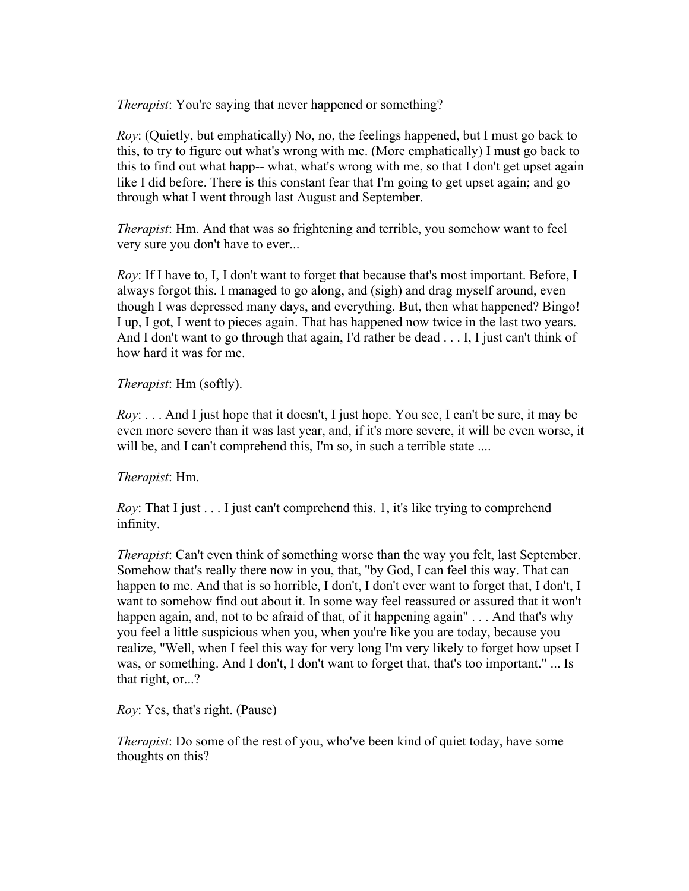*Therapist*: You're saying that never happened or something?

*Roy*: (Quietly, but emphatically) No, no, the feelings happened, but I must go back to this, to try to figure out what's wrong with me. (More emphatically) I must go back to this to find out what happ-- what, what's wrong with me, so that I don't get upset again like I did before. There is this constant fear that I'm going to get upset again; and go through what I went through last August and September.

*Therapist*: Hm. And that was so frightening and terrible, you somehow want to feel very sure you don't have to ever...

*Roy*: If I have to, I, I don't want to forget that because that's most important. Before, I always forgot this. I managed to go along, and (sigh) and drag myself around, even though I was depressed many days, and everything. But, then what happened? Bingo! I up, I got, I went to pieces again. That has happened now twice in the last two years. And I don't want to go through that again, I'd rather be dead . . . I, I just can't think of how hard it was for me.

*Therapist*: Hm (softly).

*Roy*: . . . And I just hope that it doesn't, I just hope. You see, I can't be sure, it may be even more severe than it was last year, and, if it's more severe, it will be even worse, it will be, and I can't comprehend this, I'm so, in such a terrible state ....

*Therapist*: Hm.

*Roy*: That I just . . . I just can't comprehend this. 1, it's like trying to comprehend infinity.

*Therapist*: Can't even think of something worse than the way you felt, last September. Somehow that's really there now in you, that, "by God, I can feel this way. That can happen to me. And that is so horrible, I don't, I don't ever want to forget that, I don't, I want to somehow find out about it. In some way feel reassured or assured that it won't happen again, and, not to be afraid of that, of it happening again"... And that's why you feel a little suspicious when you, when you're like you are today, because you realize, "Well, when I feel this way for very long I'm very likely to forget how upset I was, or something. And I don't, I don't want to forget that, that's too important." ... Is that right, or...?

*Roy*: Yes, that's right. (Pause)

*Therapist*: Do some of the rest of you, who've been kind of quiet today, have some thoughts on this?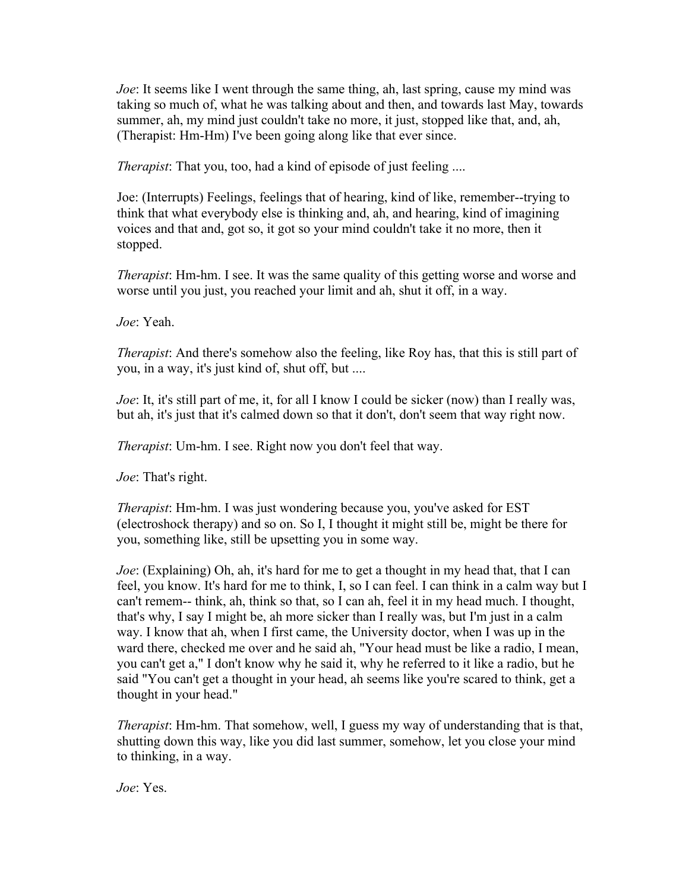*Joe*: It seems like I went through the same thing, ah, last spring, cause my mind was taking so much of, what he was talking about and then, and towards last May, towards summer, ah, my mind just couldn't take no more, it just, stopped like that, and, ah, (Therapist: Hm-Hm) I've been going along like that ever since.

*Therapist*: That you, too, had a kind of episode of just feeling ....

Joe: (Interrupts) Feelings, feelings that of hearing, kind of like, remember--trying to think that what everybody else is thinking and, ah, and hearing, kind of imagining voices and that and, got so, it got so your mind couldn't take it no more, then it stopped.

*Therapist*: Hm-hm. I see. It was the same quality of this getting worse and worse and worse until you just, you reached your limit and ah, shut it off, in a way.

*Joe*: Yeah.

*Therapist*: And there's somehow also the feeling, like Roy has, that this is still part of you, in a way, it's just kind of, shut off, but ....

*Joe*: It, it's still part of me, it, for all I know I could be sicker (now) than I really was, but ah, it's just that it's calmed down so that it don't, don't seem that way right now.

*Therapist*: Um-hm. I see. Right now you don't feel that way.

*Joe*: That's right.

*Therapist*: Hm-hm. I was just wondering because you, you've asked for EST (electroshock therapy) and so on. So I, I thought it might still be, might be there for you, something like, still be upsetting you in some way.

*Joe*: (Explaining) Oh, ah, it's hard for me to get a thought in my head that, that I can feel, you know. It's hard for me to think, I, so I can feel. I can think in a calm way but I can't remem-- think, ah, think so that, so I can ah, feel it in my head much. I thought, that's why, I say I might be, ah more sicker than I really was, but I'm just in a calm way. I know that ah, when I first came, the University doctor, when I was up in the ward there, checked me over and he said ah, "Your head must be like a radio, I mean, you can't get a," I don't know why he said it, why he referred to it like a radio, but he said "You can't get a thought in your head, ah seems like you're scared to think, get a thought in your head."

*Therapist*: Hm-hm. That somehow, well, I guess my way of understanding that is that, shutting down this way, like you did last summer, somehow, let you close your mind to thinking, in a way.

*Joe*: Yes.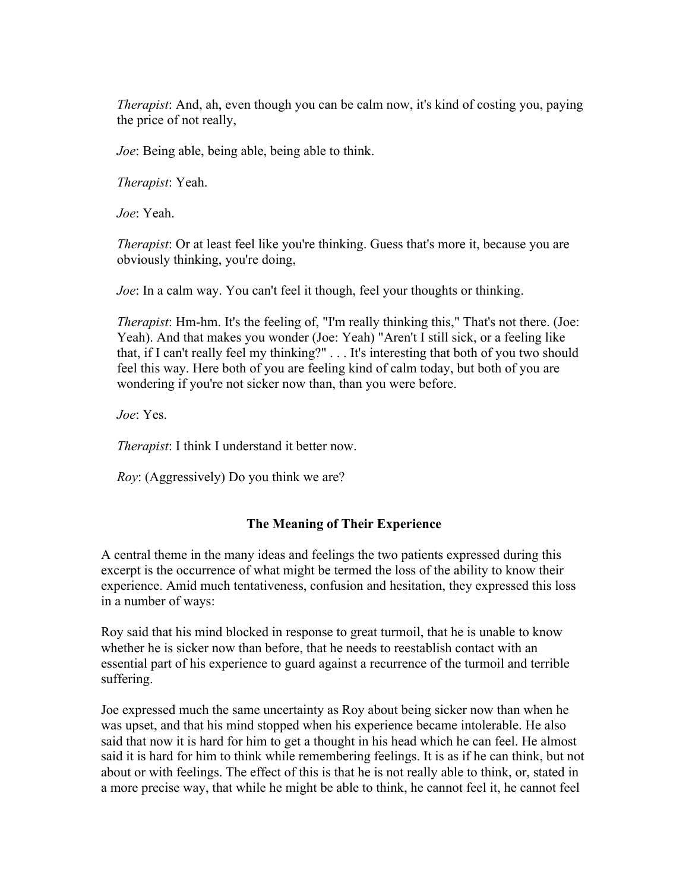*Therapist*: And, ah, even though you can be calm now, it's kind of costing you, paying the price of not really,

*Joe*: Being able, being able, being able to think.

*Therapist*: Yeah.

*Joe*: Yeah.

*Therapist*: Or at least feel like you're thinking. Guess that's more it, because you are obviously thinking, you're doing,

*Joe*: In a calm way. You can't feel it though, feel your thoughts or thinking.

*Therapist*: Hm-hm. It's the feeling of, "I'm really thinking this," That's not there. (Joe: Yeah). And that makes you wonder (Joe: Yeah) "Aren't I still sick, or a feeling like that, if I can't really feel my thinking?" . . . It's interesting that both of you two should feel this way. Here both of you are feeling kind of calm today, but both of you are wondering if you're not sicker now than, than you were before.

*Joe*: Yes.

*Therapist*: I think I understand it better now.

*Roy*: (Aggressively) Do you think we are?

# The Meaning of Their Experience

A central theme in the many ideas and feelings the two patients expressed during this excerpt is the occurrence of what might be termed the loss of the ability to know their experience. Amid much tentativeness, confusion and hesitation, they expressed this loss in a number of ways:

Roy said that his mind blocked in response to great turmoil, that he is unable to know whether he is sicker now than before, that he needs to reestablish contact with an essential part of his experience to guard against a recurrence of the turmoil and terrible suffering.

Joe expressed much the same uncertainty as Roy about being sicker now than when he was upset, and that his mind stopped when his experience became intolerable. He also said that now it is hard for him to get a thought in his head which he can feel. He almost said it is hard for him to think while remembering feelings. It is as if he can think, but not about or with feelings. The effect of this is that he is not really able to think, or, stated in a more precise way, that while he might be able to think, he cannot feel it, he cannot feel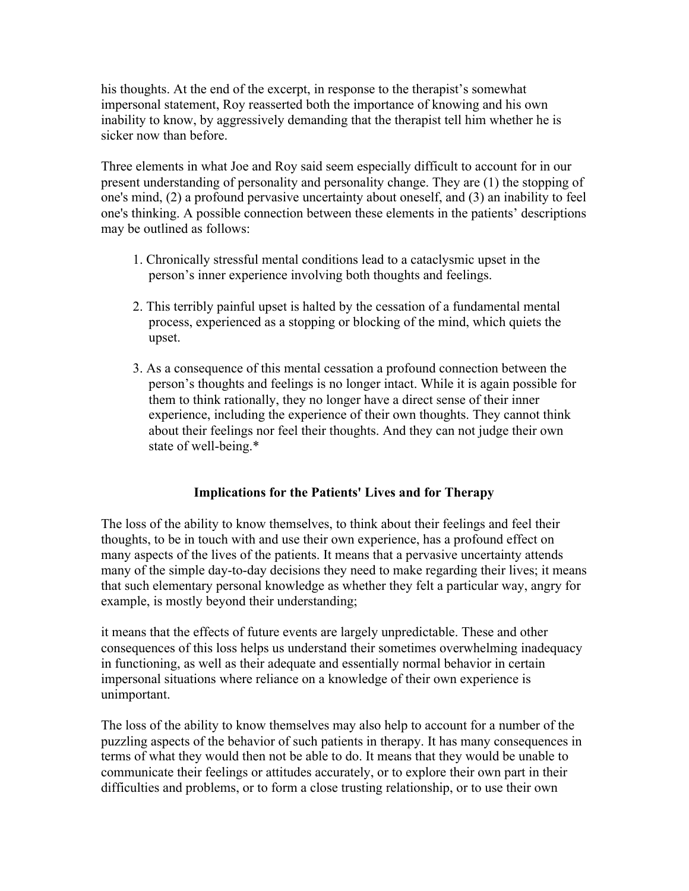his thoughts. At the end of the excerpt, in response to the therapist's somewhat impersonal statement, Roy reasserted both the importance of knowing and his own inability to know, by aggressively demanding that the therapist tell him whether he is sicker now than before.

Three elements in what Joe and Roy said seem especially difficult to account for in our present understanding of personality and personality change. They are (1) the stopping of one's mind, (2) a profound pervasive uncertainty about oneself, and (3) an inability to feel one's thinking. A possible connection between these elements in the patients' descriptions may be outlined as follows:

- 1. Chronically stressful mental conditions lead to a cataclysmic upset in the person's inner experience involving both thoughts and feelings.
- 2. This terribly painful upset is halted by the cessation of a fundamental mental process, experienced as a stopping or blocking of the mind, which quiets the upset.
- 3. As a consequence of this mental cessation a profound connection between the person's thoughts and feelings is no longer intact. While it is again possible for them to think rationally, they no longer have a direct sense of their inner experience, including the experience of their own thoughts. They cannot think about their feelings nor feel their thoughts. And they can not judge their own state of well-being.\*

# Implications for the Patients' Lives and for Therapy

The loss of the ability to know themselves, to think about their feelings and feel their thoughts, to be in touch with and use their own experience, has a profound effect on many aspects of the lives of the patients. It means that a pervasive uncertainty attends many of the simple day-to-day decisions they need to make regarding their lives; it means that such elementary personal knowledge as whether they felt a particular way, angry for example, is mostly beyond their understanding;

it means that the effects of future events are largely unpredictable. These and other consequences of this loss helps us understand their sometimes overwhelming inadequacy in functioning, as well as their adequate and essentially normal behavior in certain impersonal situations where reliance on a knowledge of their own experience is unimportant.

The loss of the ability to know themselves may also help to account for a number of the puzzling aspects of the behavior of such patients in therapy. It has many consequences in terms of what they would then not be able to do. It means that they would be unable to communicate their feelings or attitudes accurately, or to explore their own part in their difficulties and problems, or to form a close trusting relationship, or to use their own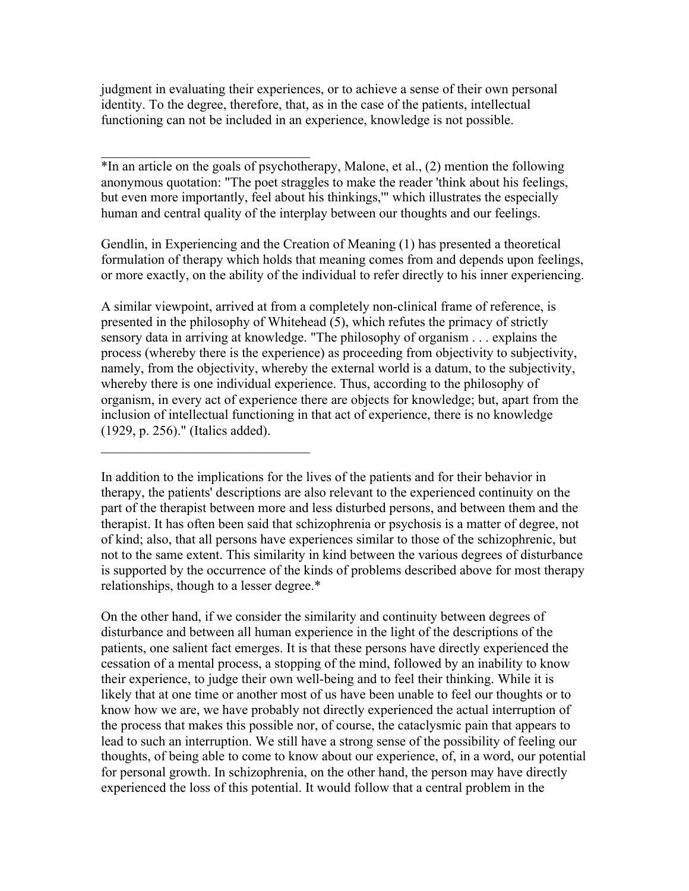judgment in evaluating their experiences, or to achieve a sense of their own personal identity. To the degree, therefore, that, as in the case of the patients, intellectual functioning can not be included in an experience, knowledge is not possible.

 $\mathcal{L}_\text{max}$ 

 $\mathcal{L}_\text{max}$ 

\*In an article on the goals of psychotherapy, Malone, et al., (2) mention the following anonymous quotation: "The poet straggles to make the reader 'think about his feelings, but even more importantly, feel about his thinkings,'" which illustrates the especially human and central quality of the interplay between our thoughts and our feelings.

Gendlin, in Experiencing and the Creation of Meaning (1) has presented a theoretical formulation of therapy which holds that meaning comes from and depends upon feelings, or more exactly, on the ability of the individual to refer directly to his inner experiencing.

A similar viewpoint, arrived at from a completely non-clinical frame of reference, is presented in the philosophy of Whitehead (5), which refutes the primacy of strictly sensory data in arriving at knowledge. "The philosophy of organism . . . explains the process (whereby there is the experience) as proceeding from objectivity to subjectivity, namely, from the objectivity, whereby the external world is a datum, to the subjectivity, whereby there is one individual experience. Thus, according to the philosophy of organism, in every act of experience there are objects for knowledge; but, apart from the inclusion of intellectual functioning in that act of experience, there is no knowledge (1929, p. 256)." (Italics added).

In addition to the implications for the lives of the patients and for their behavior in therapy, the patients' descriptions are also relevant to the experienced continuity on the part of the therapist between more and less disturbed persons, and between them and the therapist. It has often been said that schizophrenia or psychosis is a matter of degree, not of kind; also, that all persons have experiences similar to those of the schizophrenic, but not to the same extent. This similarity in kind between the various degrees of disturbance is supported by the occurrence of the kinds of problems described above for most therapy relationships, though to a lesser degree.\*

On the other hand, if we consider the similarity and continuity between degrees of disturbance and between all human experience in the light of the descriptions of the patients, one salient fact emerges. It is that these persons have directly experienced the cessation of a mental process, a stopping of the mind, followed by an inability to know their experience, to judge their own well-being and to feel their thinking. While it is likely that at one time or another most of us have been unable to feel our thoughts or to know how we are, we have probably not directly experienced the actual interruption of the process that makes this possible nor, of course, the cataclysmic pain that appears to lead to such an interruption. We still have a strong sense of the possibility of feeling our thoughts, of being able to come to know about our experience, of, in a word, our potential for personal growth. In schizophrenia, on the other hand, the person may have directly experienced the loss of this potential. It would follow that a central problem in the